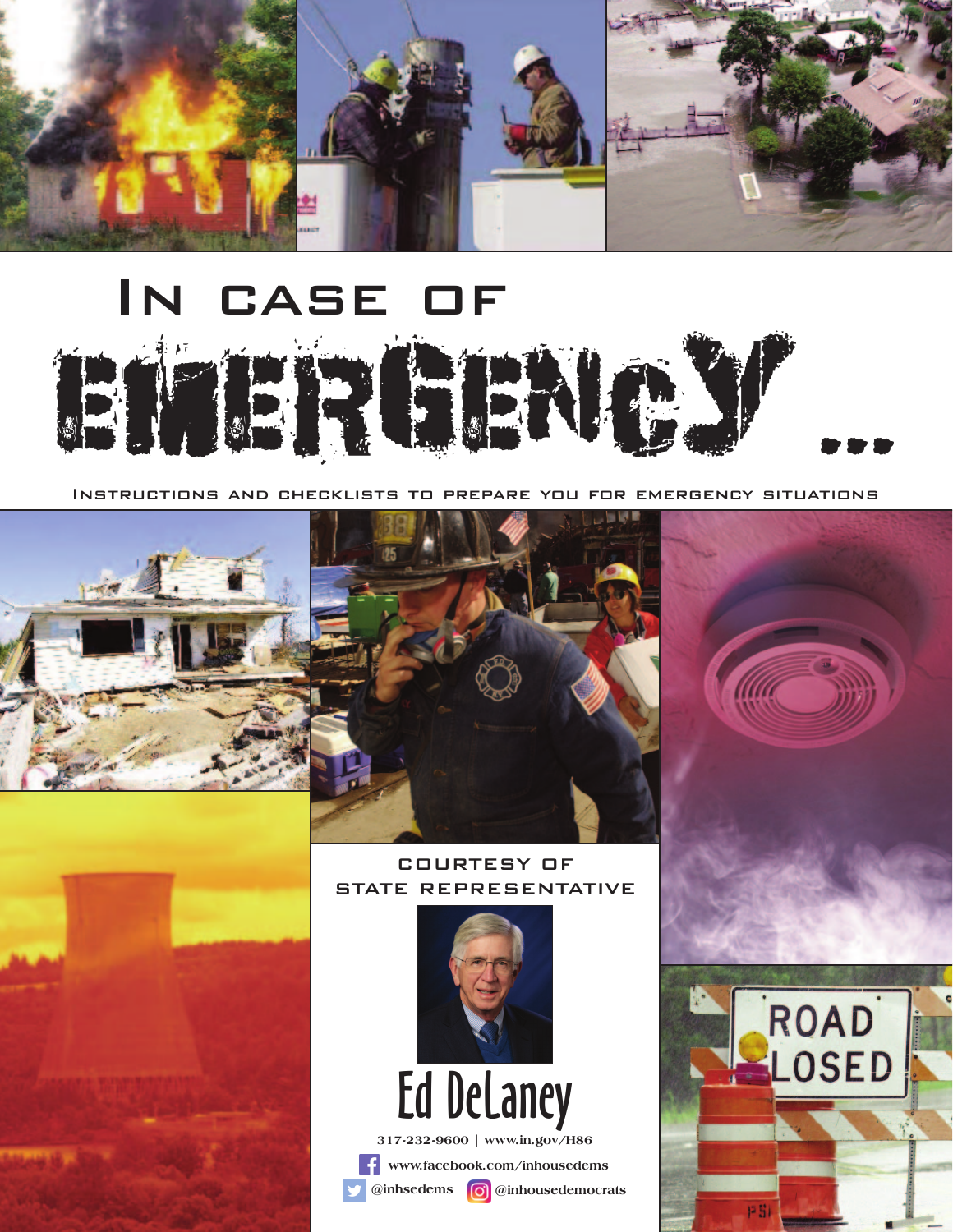

## In case of



Instructions and checklists to prepare you for emergency situations



**Manufacture** 



#### COURTESY OF STATE REPRESENTATIVE



ROAD<br>LOSED

**@inhsedems @inhousedemocrats**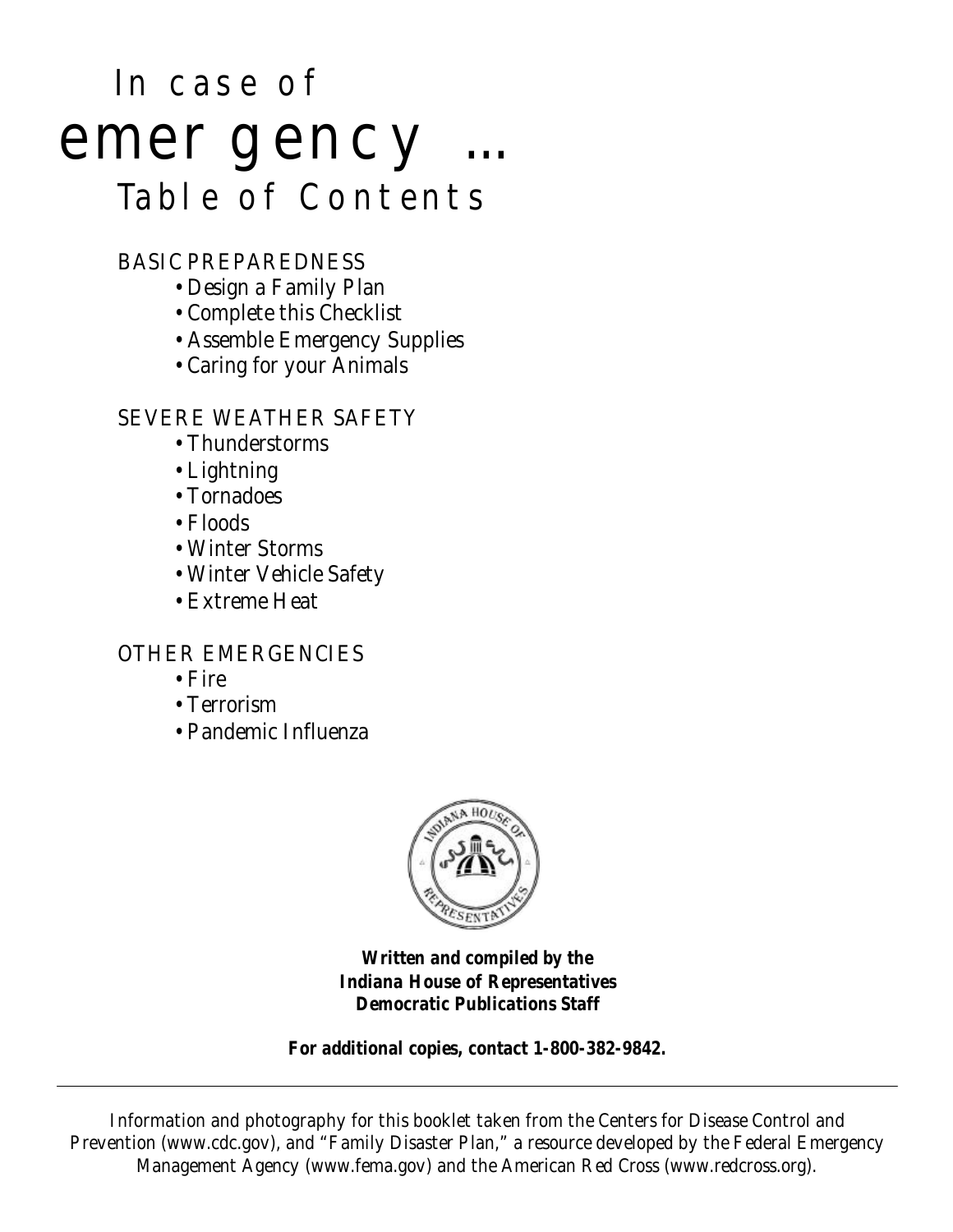## In case of emergency ... Table of Contents

#### BASIC PREPAREDNESS

- Design a Family Plan
- Complete this Checklist
- Assemble Emergency Supplies
- Caring for your Animals

#### SEVERE WEATHER SAFETY

- Thunderstorms
- Lightning
- Tornadoes
- Floods
- Winter Storms
- Winter Vehicle Safety
- Extreme Heat

#### OTHER EMERGENCIES

- Fire
- Terrorism
- Pandemic Influenza



**Written and compiled by the Indiana House of Representatives Democratic Publications Staff**

**For additional copies, contact 1-800-382-9842.**

Information and photography for this booklet taken from the Centers for Disease Control and Prevention (www.cdc.gov), and "Family Disaster Plan," a resource developed by the Federal Emergency Management Agency (www.fema.gov) and the American Red Cross (www.redcross.org).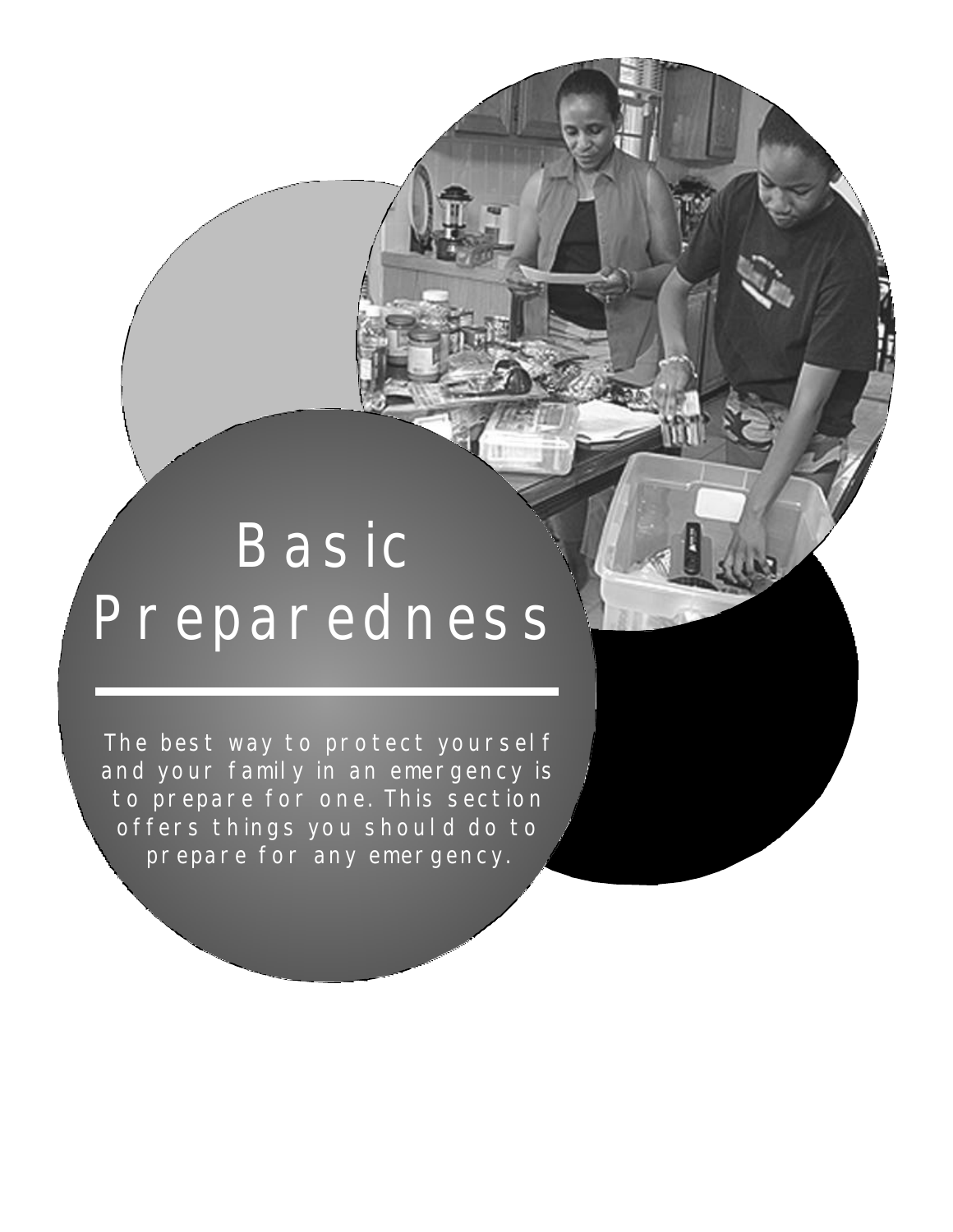# Basic Preparedness

The best way to protect yoursel f and your family in an emergency is to prepare for one. This section offers things you should do to prepare for any emergency.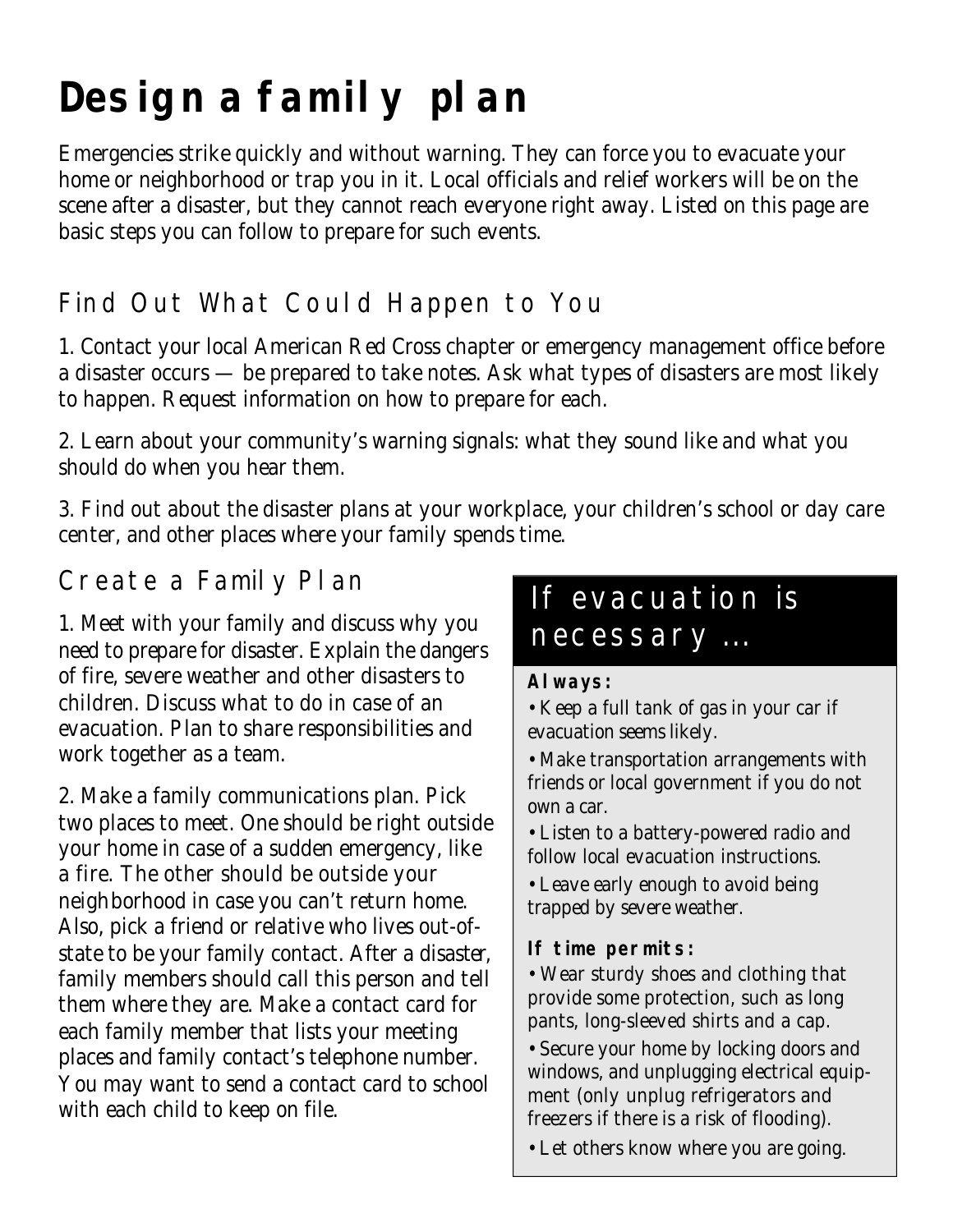## **Design a family plan**

Emergencies strike quickly and without warning. They can force you to evacuate your home or neighborhood or trap you in it. Local officials and relief workers will be on the scene after a disaster, but they cannot reach everyone right away. Listed on this page are basic steps you can follow to prepare for such events.

## Find Out What Could Happen to You

1. Contact your local American Red Cross chapter or emergency management office before a disaster occurs — be prepared to take notes. Ask what types of disasters are most likely to happen. Request information on how to prepare for each.

2. Learn about your community's warning signals: what they sound like and what you should do when you hear them.

3. Find out about the disaster plans at your workplace, your children's school or day care center, and other places where your family spends time.

### Create a Family Plan

1. Meet with your family and discuss why you need to prepare for disaster. Explain the dangers of fire, severe weather and other disasters to children. Discuss what to do in case of an evacuation. Plan to share responsibilities and work together as a team.

2. Make a family communications plan. Pick two places to meet. One should be right outside your home in case of a sudden emergency, like a fire. The other should be outside your neighborhood in case you can't return home. Also, pick a friend or relative who lives out-ofstate to be your family contact. After a disaster, family members should call this person and tell them where they are. Make a contact card for each family member that lists your meeting places and family contact's telephone number. You may want to send a contact card to school with each child to keep on file.

## If evacuation is necessary ...

#### **Always:**

• Keep a full tank of gas in your car if evacuation seems likely.

- Make transportation arrangements with friends or local government if you do not own a car.
- Listen to a battery-powered radio and follow local evacuation instructions.
- Leave early enough to avoid being trapped by severe weather.

#### **If time permits:**

• Wear sturdy shoes and clothing that provide some protection, such as long pants, long-sleeved shirts and a cap.

• Secure your home by locking doors and windows, and unplugging electrical equipment (only unplug refrigerators and freezers if there is a risk of flooding).

• Let others know where you are going.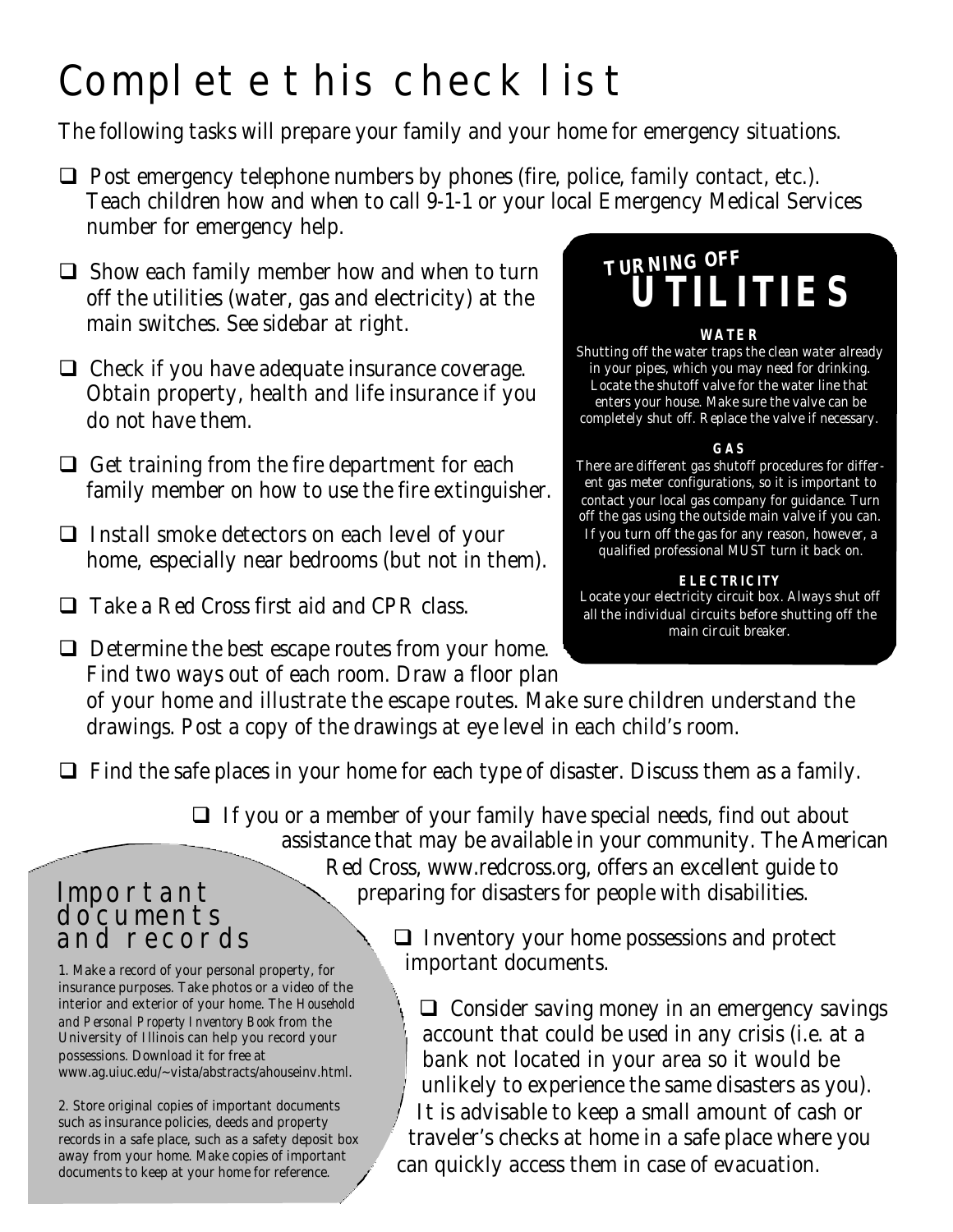## Complete this checklist

The following tasks will prepare your family and your home for emergency situations.

- $\Box$  Post emergency telephone numbers by phones (fire, police, family contact, etc.). Teach children how and when to call 9-1-1 or your local Emergency Medical Services number for emergency help.
- $\Box$  Show each family member how and when to turn off the utilities (water, gas and electricity) at the main switches. See sidebar at right.
- $\Box$  Check if you have adequate insurance coverage. Obtain property, health and life insurance if you do not have them.
- $\Box$  Get training from the fire department for each family member on how to use the fire extinguisher.
- $\Box$  Install smoke detectors on each level of your home, especially near bedrooms (but not in them).
- $\Box$  Take a Red Cross first aid and CPR class.
- $\Box$  Determine the best escape routes from your home. Find two ways out of each room. Draw a floor plan

## **TURNING OFF UTILITIES**

#### **WATER**

Shutting off the water traps the clean water already in your pipes, which you may need for drinking. Locate the shutoff valve for the water line that enters your house. Make sure the valve can be completely shut off. Replace the valve if necessary.

#### **GAS**

There are different gas shutoff procedures for different gas meter configurations, so it is important to contact your local gas company for guidance. Turn off the gas using the outside main valve if you can. If you turn off the gas for any reason, however, a qualified professional MUST turn it back on.

**ELECTRICITY**

Locate your electricity circuit box. Always shut off all the individual circuits before shutting off the main circuit breaker.

of your home and illustrate the escape routes. Make sure children understand the drawings. Post a copy of the drawings at eye level in each child's room.

 $\Box$  Find the safe places in your home for each type of disaster. Discuss them as a family.

 $\Box$  If you or a member of your family have special needs, find out about assistance that may be available in your community. The American Red Cross, www.redcross.org, offers an excellent guide to preparing for disasters for people with disabilities.

#### Important documents and records

1. Make a record of your personal property, for insurance purposes. Take photos or a video of the interior and exterior of your home. The *Household and Personal Property Inventory Book* from the University of Illinois can help you record your possessions. Download it for free at www.ag.uiuc.edu/~vista/abstracts/ahouseinv.html.

2. Store original copies of important documents such as insurance policies, deeds and property records in a safe place, such as a safety deposit box away from your home. Make copies of important documents to keep at your home for reference.

 $\Box$  Inventory your home possessions and protect important documents.

 $\Box$  Consider saving money in an emergency savings account that could be used in any crisis (i.e. at a bank not located in your area so it would be unlikely to experience the same disasters as you). It is advisable to keep a small amount of cash or traveler's checks at home in a safe place where you can quickly access them in case of evacuation.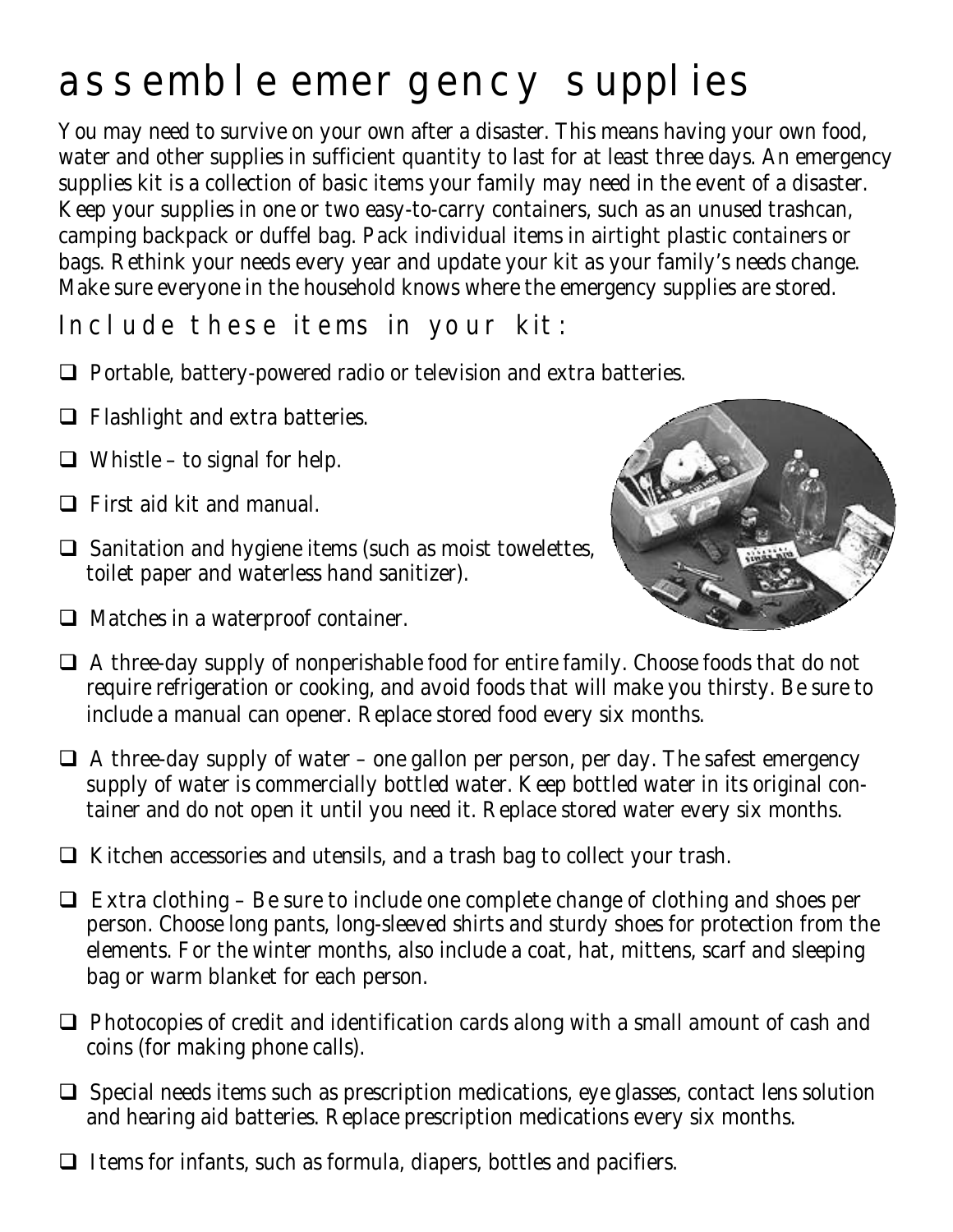## assemble emergency supplies

You may need to survive on your own after a disaster. This means having your own food, water and other supplies in sufficient quantity to last for at least three days. An emergency supplies kit is a collection of basic items your family may need in the event of a disaster. Keep your supplies in one or two easy-to-carry containers, such as an unused trashcan, camping backpack or duffel bag. Pack individual items in airtight plastic containers or bags. Rethink your needs every year and update your kit as your family's needs change. Make sure everyone in the household knows where the emergency supplies are stored.

Include these items in your kit:

- $\Box$  Portable, battery-powered radio or television and extra batteries.
- $\Box$  Flashlight and extra batteries.
- $\Box$  Whistle to signal for help.
- $\Box$  First aid kit and manual.
- $\Box$  Sanitation and hygiene items (such as moist towelettes, toilet paper and waterless hand sanitizer).
- $\Box$  Matches in a waterproof container.



- $\Box$  A three-day supply of nonperishable food for entire family. Choose foods that do not require refrigeration or cooking, and avoid foods that will make you thirsty. Be sure to include a manual can opener. Replace stored food every six months.
- $\Box$  A three-day supply of water one gallon per person, per day. The safest emergency supply of water is commercially bottled water. Keep bottled water in its original container and do not open it until you need it. Replace stored water every six months.
- $\Box$  Kitchen accessories and utensils, and a trash bag to collect your trash.
- $\Box$  Extra clothing Be sure to include one complete change of clothing and shoes per person. Choose long pants, long-sleeved shirts and sturdy shoes for protection from the elements. For the winter months, also include a coat, hat, mittens, scarf and sleeping bag or warm blanket for each person.
- $\Box$  Photocopies of credit and identification cards along with a small amount of cash and coins (for making phone calls).
- $\Box$  Special needs items such as prescription medications, eye glasses, contact lens solution and hearing aid batteries. Replace prescription medications every six months.
- $\Box$  Items for infants, such as formula, diapers, bottles and pacifiers.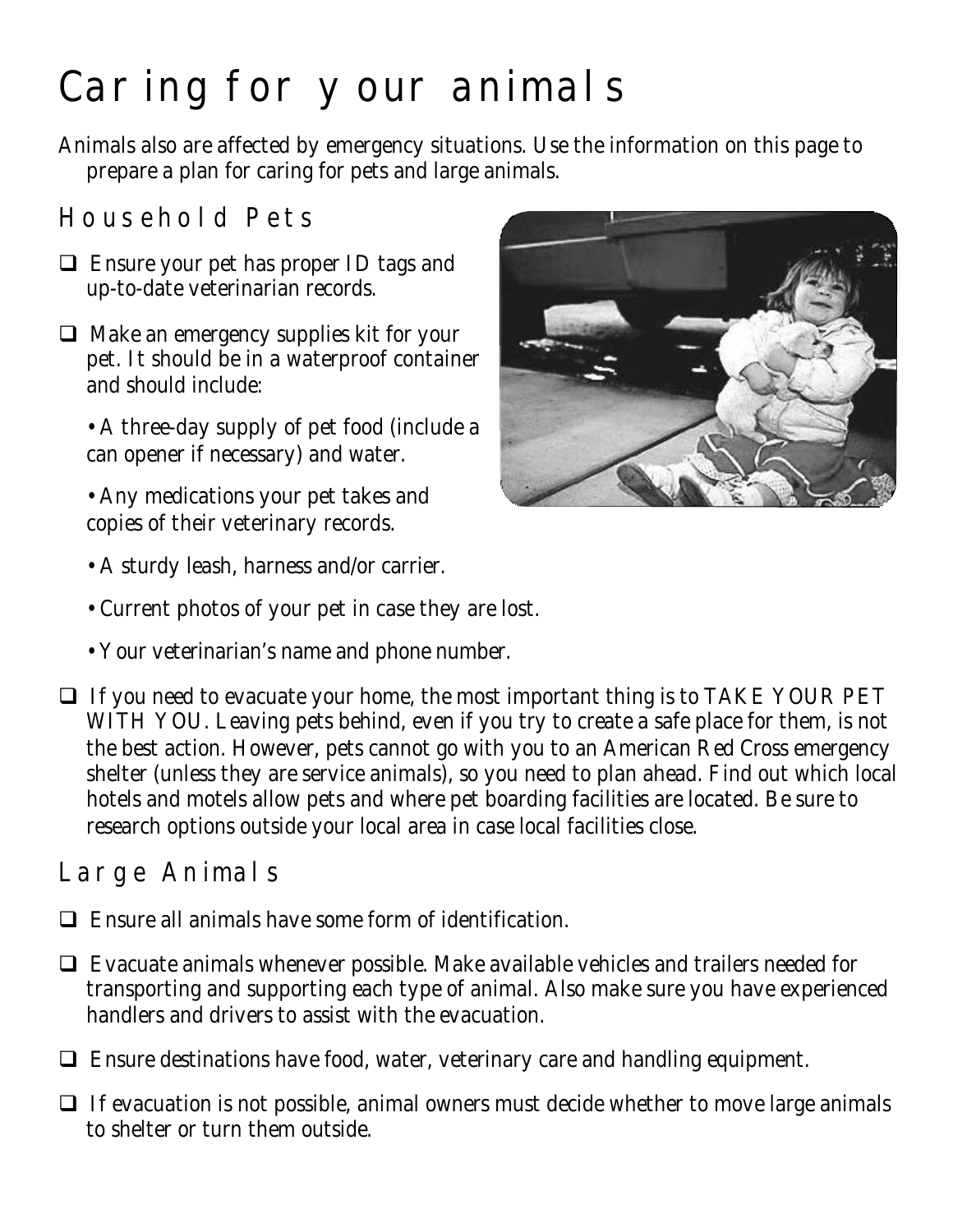## Caring for your animals

Animals also are affected by emergency situations. Use the information on this page to prepare a plan for caring for pets and large animals.

## Household Pets

- $\Box$  Ensure your pet has proper ID tags and up-to-date veterinarian records.
- $\Box$  Make an emergency supplies kit for your pet. It should be in a waterproof container and should include:
	- A three-day supply of pet food (include a can opener if necessary) and water.
	- Any medications your pet takes and copies of their veterinary records.



- A sturdy leash, harness and/or carrier.
- Current photos of your pet in case they are lost.
- Your veterinarian's name and phone number.
- $\Box$  If you need to evacuate your home, the most important thing is to TAKE YOUR PET WITH YOU. Leaving pets behind, even if you try to create a safe place for them, is not the best action. However, pets cannot go with you to an American Red Cross emergency shelter (unless they are service animals), so you need to plan ahead. Find out which local hotels and motels allow pets and where pet boarding facilities are located. Be sure to research options outside your local area in case local facilities close.

## Large Animals

- $\Box$  Ensure all animals have some form of identification.
- $\Box$  Evacuate animals whenever possible. Make available vehicles and trailers needed for transporting and supporting each type of animal. Also make sure you have experienced handlers and drivers to assist with the evacuation.
- $\Box$  Ensure destinations have food, water, veterinary care and handling equipment.
- $\Box$  If evacuation is not possible, animal owners must decide whether to move large animals to shelter or turn them outside.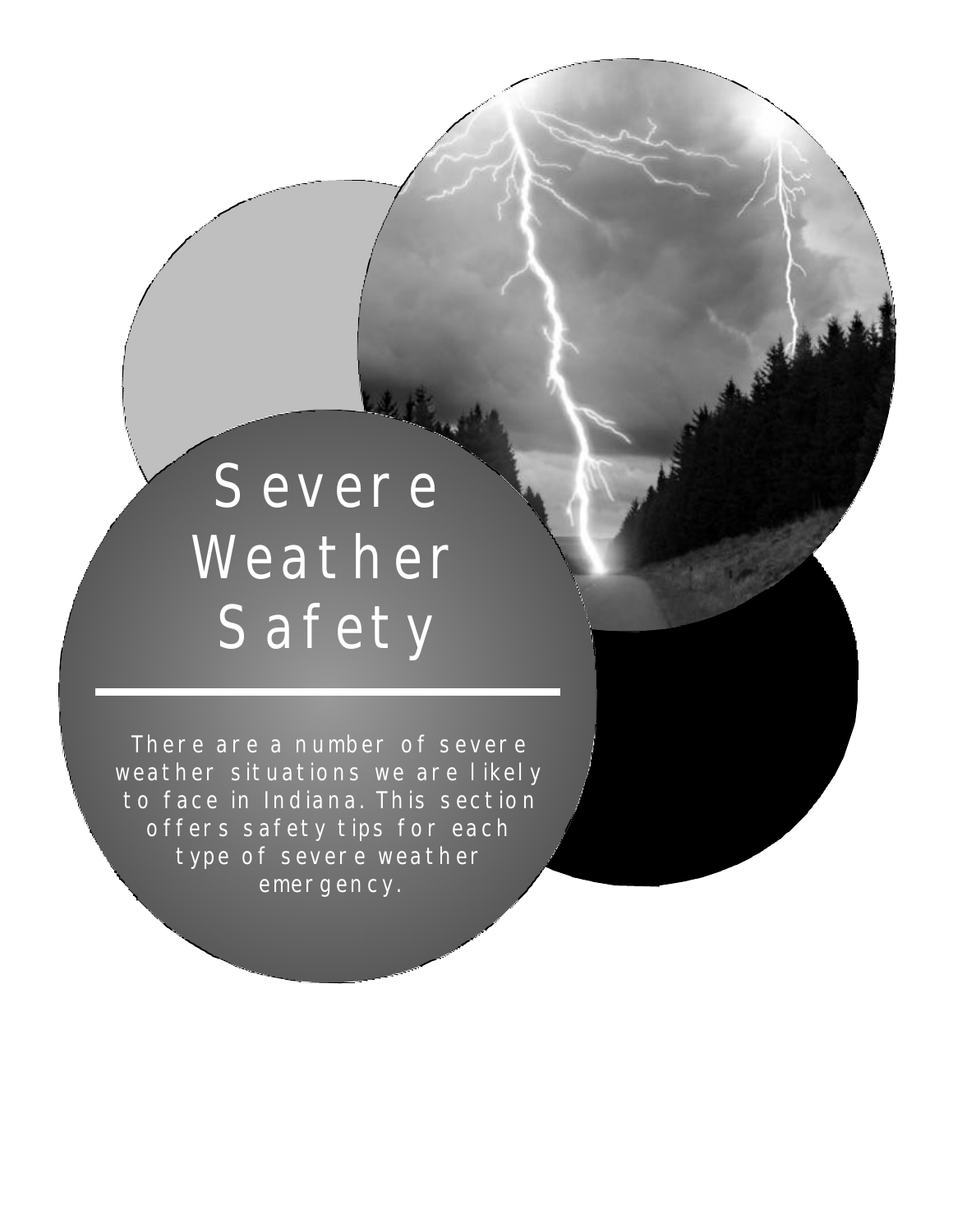# **Severe** Weather **Safety**

There are a number of severe weather situations we are likely to face in Indiana. This section offers safety tips for each type of severe weather emergency.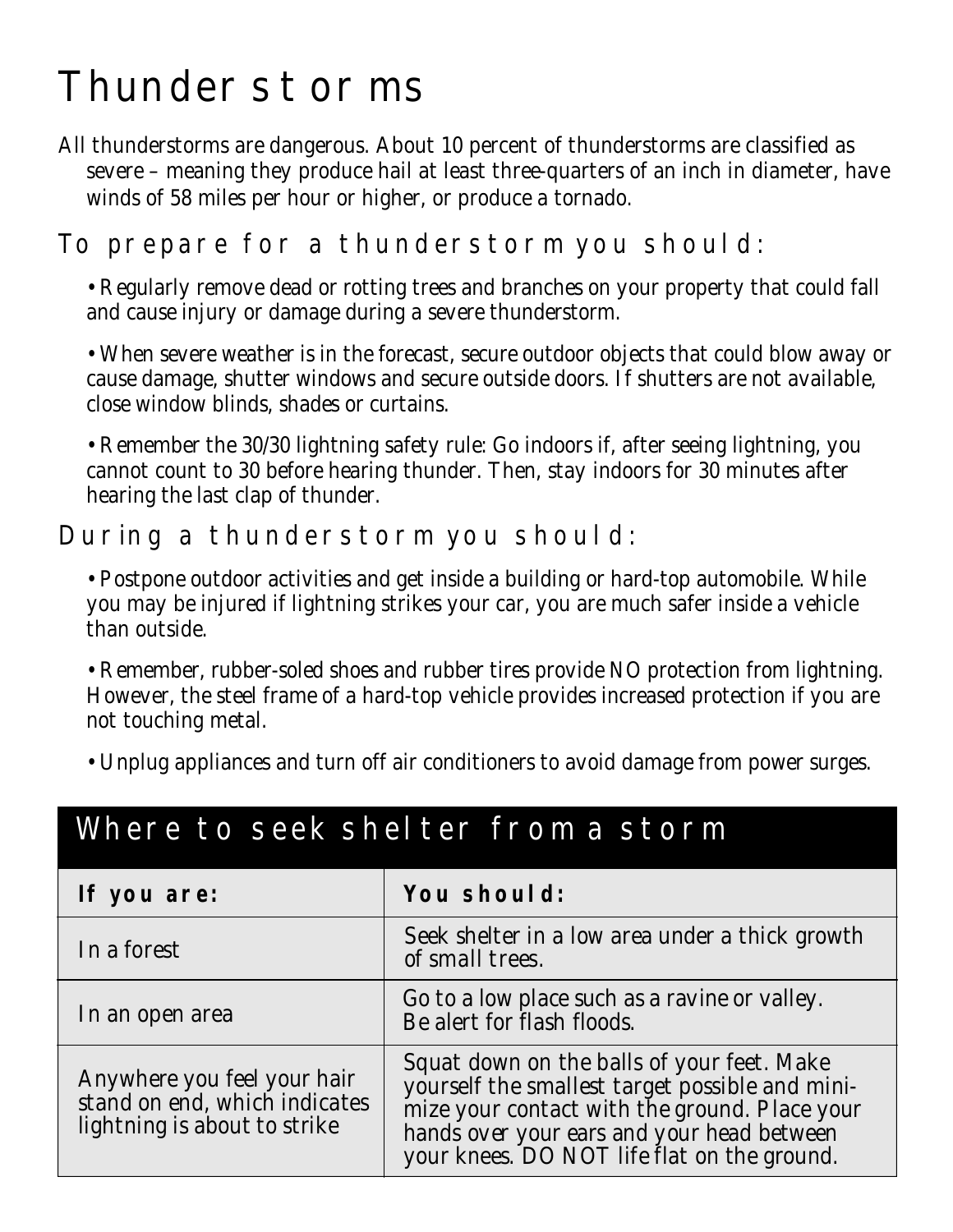## Thunderstorms

All thunderstorms are dangerous. About 10 percent of thunderstorms are classified as severe – meaning they produce hail at least three-quarters of an inch in diameter, have winds of 58 miles per hour or higher, or produce a tornado.

### To prepare for a thunderstorm you should:

• Regularly remove dead or rotting trees and branches on your property that could fall and cause injury or damage during a severe thunderstorm.

• When severe weather is in the forecast, secure outdoor objects that could blow away or cause damage, shutter windows and secure outside doors. If shutters are not available, close window blinds, shades or curtains.

• Remember the 30/30 lightning safety rule: Go indoors if, after seeing lightning, you cannot count to 30 before hearing thunder. Then, stay indoors for 30 minutes after hearing the last clap of thunder.

#### During a thunderstorm you should:

• Postpone outdoor activities and get inside a building or hard-top automobile. While you may be injured if lightning strikes your car, you are much safer inside a vehicle than outside.

• Remember, rubber-soled shoes and rubber tires provide NO protection from lightning. However, the steel frame of a hard-top vehicle provides increased protection if you are not touching metal.

• Unplug appliances and turn off air conditioners to avoid damage from power surges.

| If you are:                                                                                  | You should:                                                                                                                                                                                                                                 |
|----------------------------------------------------------------------------------------------|---------------------------------------------------------------------------------------------------------------------------------------------------------------------------------------------------------------------------------------------|
| In a forest                                                                                  | Seek shelter in a low area under a thick growth<br>of small trees.                                                                                                                                                                          |
| In an open area                                                                              | Go to a low place such as a ravine or valley.<br>Be alert for flash floods.                                                                                                                                                                 |
| Anywhere you feel your hair<br>stand on end, which indicates<br>lightning is about to strike | Squat down on the balls of your feet. Make<br>yourself the smallest target possible and mini-<br>mize your contact with the ground. Place your<br>hands over your ears and your head between<br>your knees. DO NOT life flat on the ground. |

## Where to seek shelter from a storm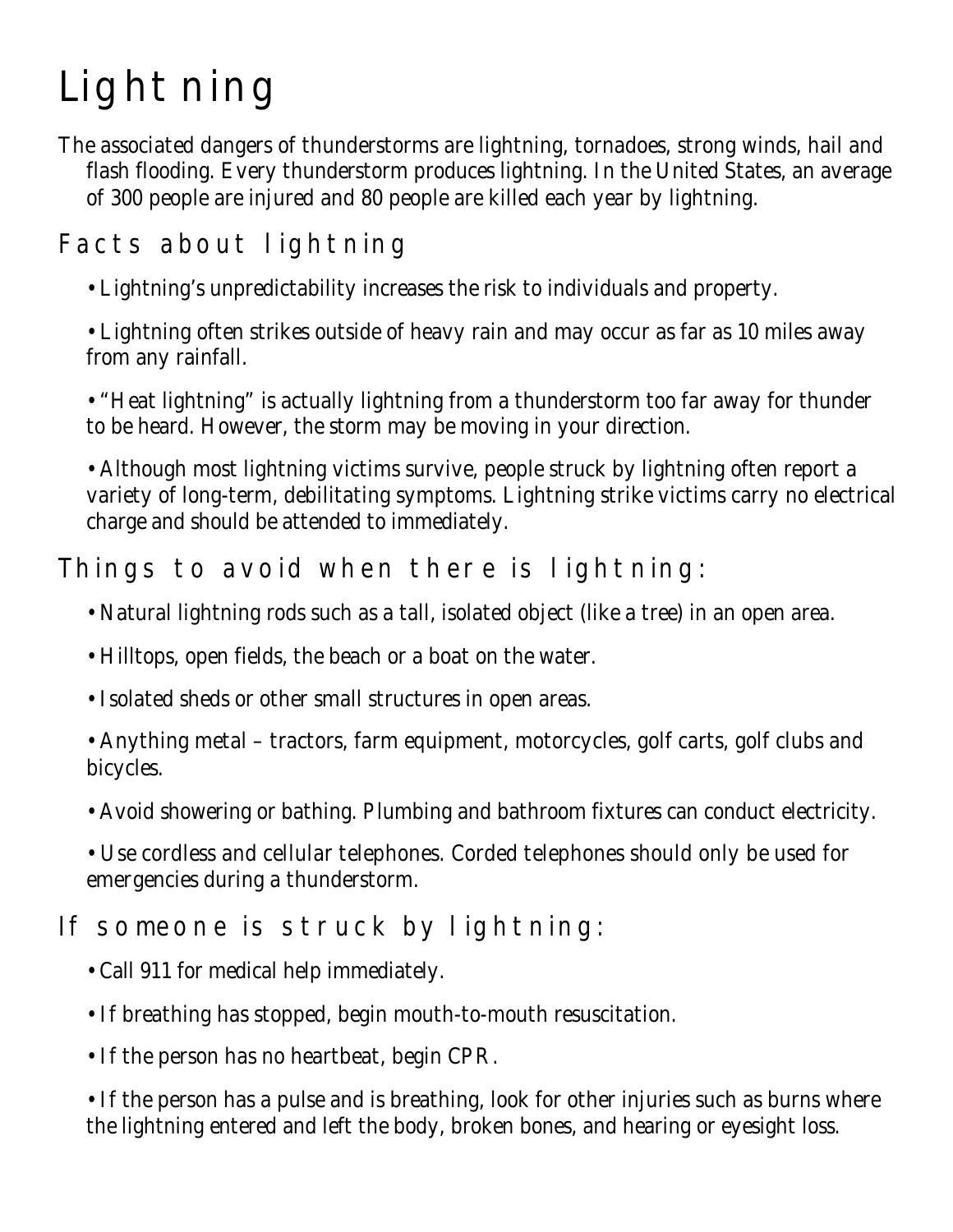## Lightning

The associated dangers of thunderstorms are lightning, tornadoes, strong winds, hail and flash flooding. Every thunderstorm produces lightning. In the United States, an average of 300 people are injured and 80 people are killed each year by lightning.

## Facts about lightning

• Lightning's unpredictability increases the risk to individuals and property.

• Lightning often strikes outside of heavy rain and may occur as far as 10 miles away from any rainfall.

• "Heat lightning" is actually lightning from a thunderstorm too far away for thunder to be heard. However, the storm may be moving in your direction.

• Although most lightning victims survive, people struck by lightning often report a variety of long-term, debilitating symptoms. Lightning strike victims carry no electrical charge and should be attended to immediately.

### Things to avoid when there is lightning:

- Natural lightning rods such as a tall, isolated object (like a tree) in an open area.
- Hilltops, open fields, the beach or a boat on the water.
- Isolated sheds or other small structures in open areas.
- Anything metal tractors, farm equipment, motorcycles, golf carts, golf clubs and bicycles.
- Avoid showering or bathing. Plumbing and bathroom fixtures can conduct electricity.
- Use cordless and cellular telephones. Corded telephones should only be used for emergencies during a thunderstorm.

## If someone is struck by lightning:

- Call 911 for medical help immediately.
- If breathing has stopped, begin mouth-to-mouth resuscitation.
- If the person has no heartbeat, begin CPR.

• If the person has a pulse and is breathing, look for other injuries such as burns where the lightning entered and left the body, broken bones, and hearing or eyesight loss.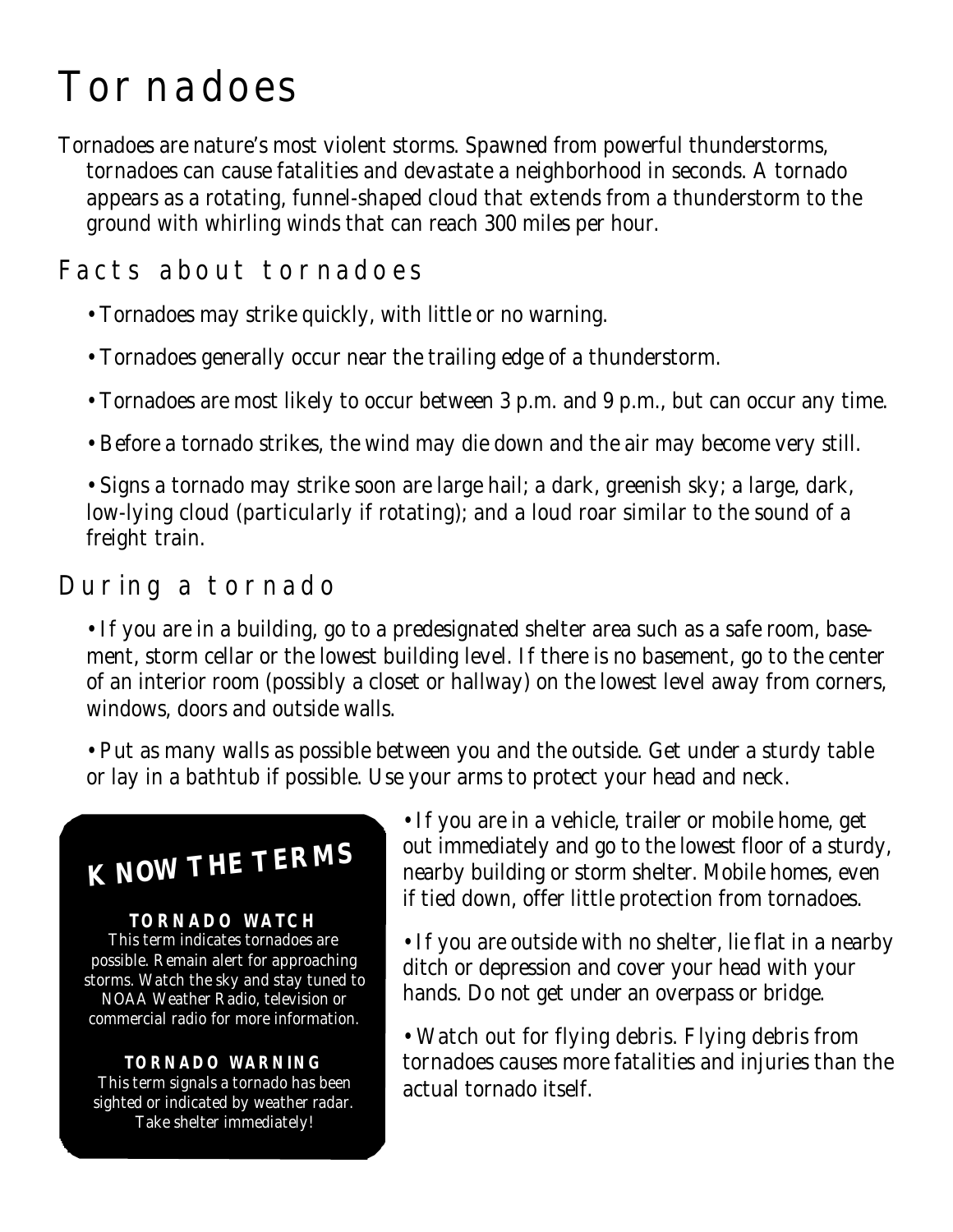## Tornadoes

Tornadoes are nature's most violent storms. Spawned from powerful thunderstorms, tornadoes can cause fatalities and devastate a neighborhood in seconds. A tornado appears as a rotating, funnel-shaped cloud that extends from a thunderstorm to the ground with whirling winds that can reach 300 miles per hour.

### Facts about tornadoes

- Tornadoes may strike quickly, with little or no warning.
- Tornadoes generally occur near the trailing edge of a thunderstorm.
- Tornadoes are most likely to occur between 3 p.m. and 9 p.m., but can occur any time.
- Before a tornado strikes, the wind may die down and the air may become very still.

• Signs a tornado may strike soon are large hail; a dark, greenish sky; a large, dark, low-lying cloud (particularly if rotating); and a loud roar similar to the sound of a freight train.

### During a tornado

• If you are in a building, go to a predesignated shelter area such as a safe room, basement, storm cellar or the lowest building level. If there is no basement, go to the center of an interior room (possibly a closet or hallway) on the lowest level away from corners, windows, doors and outside walls.

• Put as many walls as possible between you and the outside. Get under a sturdy table or lay in a bathtub if possible. Use your arms to protect your head and neck.

## **KNOW THE TERMS**

#### **TORNADO WATCH**

This term indicates tornadoes are possible. Remain alert for approaching storms. Watch the sky and stay tuned to NOAA Weather Radio, television or commercial radio for more information.

#### **TORNADO WARNING**

This term signals a tornado has been sighted or indicated by weather radar. Take shelter immediately!

• If you are in a vehicle, trailer or mobile home, get out immediately and go to the lowest floor of a sturdy, nearby building or storm shelter. Mobile homes, even if tied down, offer little protection from tornadoes.

- If you are outside with no shelter, lie flat in a nearby ditch or depression and cover your head with your hands. Do not get under an overpass or bridge.
- Watch out for flying debris. Flying debris from tornadoes causes more fatalities and injuries than the actual tornado itself.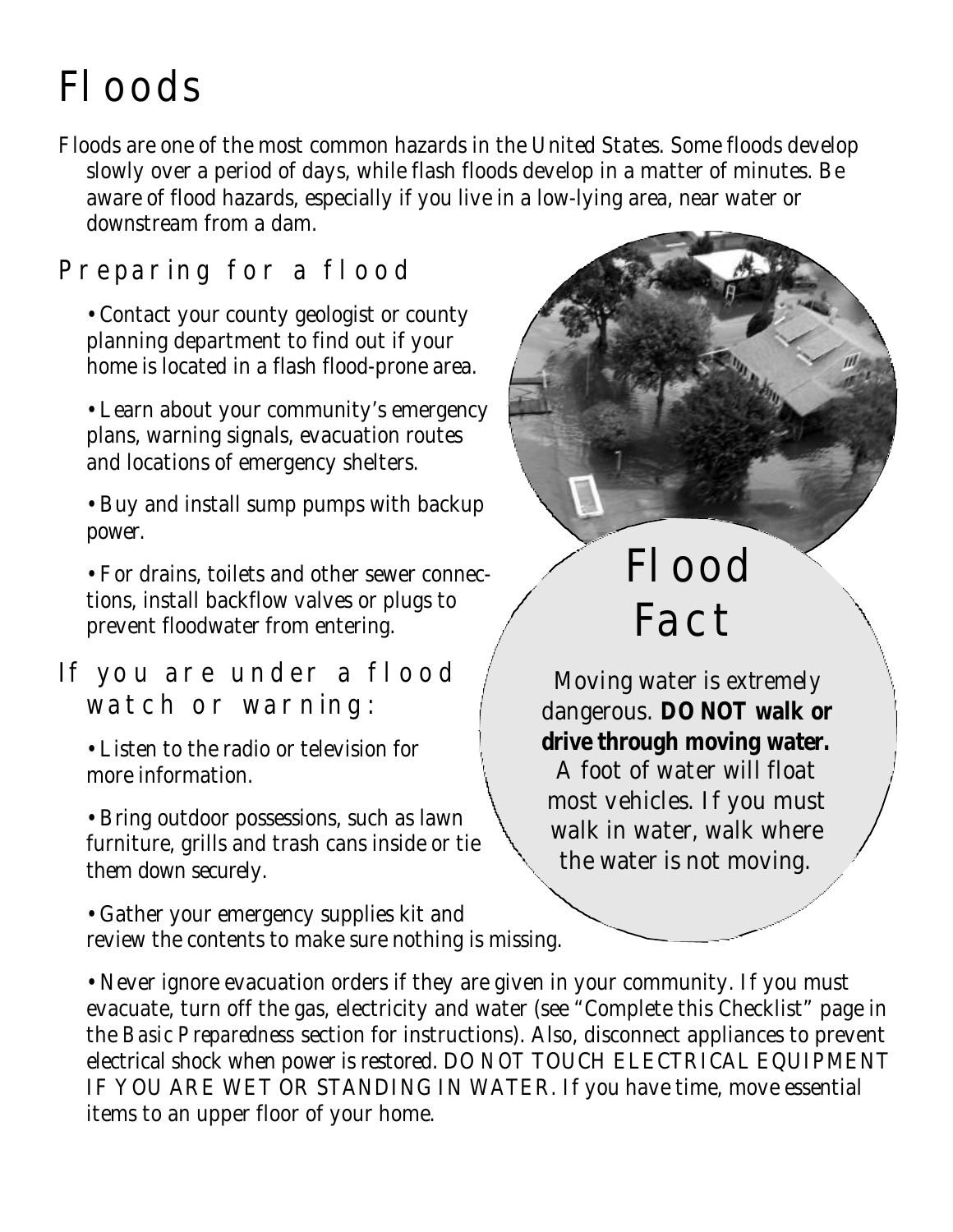## Floods

Floods are one of the most common hazards in the United States. Some floods develop slowly over a period of days, while flash floods develop in a matter of minutes. Be aware of flood hazards, especially if you live in a low-lying area, near water or downstream from a dam.

### Preparing for a flood

• Contact your county geologist or county planning department to find out if your home is located in a flash flood-prone area.

• Learn about your community's emergency plans, warning signals, evacuation routes and locations of emergency shelters.

• Buy and install sump pumps with backup power.

• For drains, toilets and other sewer connections, install backflow valves or plugs to prevent floodwater from entering.

### If you are under a flood watch or warning:

• Listen to the radio or television for more information.

• Bring outdoor possessions, such as lawn furniture, grills and trash cans inside or tie them down securely.

• Gather your emergency supplies kit and review the contents to make sure nothing is missing.

## Flood Fact

Moving water is *extremely* dangerous. **DO NOT walk or drive through moving water.**

A foot of water will float most vehicles. If you must walk in water, walk where the water is not moving.

• Never ignore evacuation orders if they are given in your community. If you must evacuate, turn off the gas, electricity and water (see "Complete this Checklist" page in the *Basic Preparedness* section for instructions). Also, disconnect appliances to prevent electrical shock when power is restored. DO *NOT* TOUCH ELECTRICAL EQUIPMENT IF YOU ARE WET OR STANDING IN WATER. If you have time, move essential items to an upper floor of your home.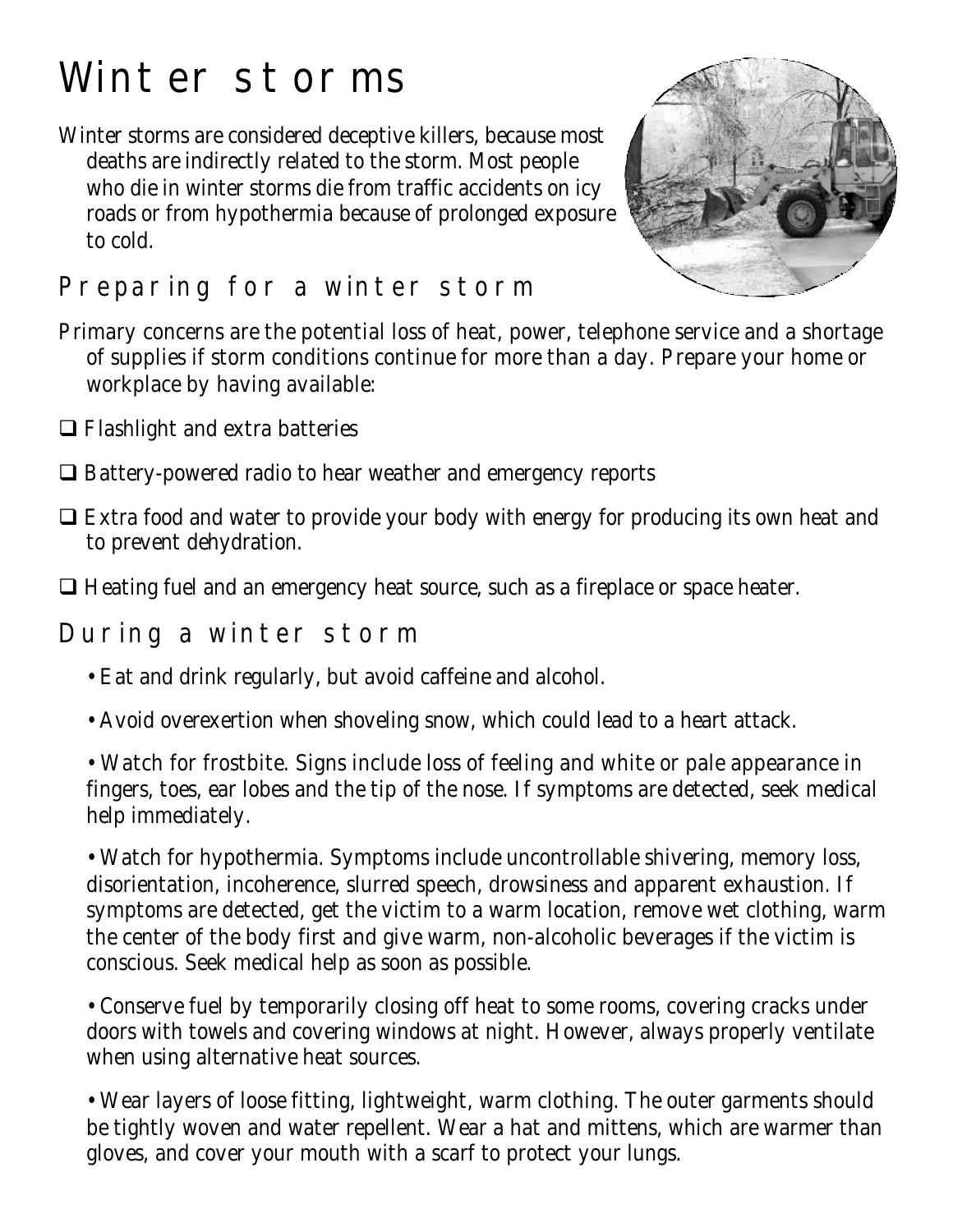## Winter storms

Winter storms are considered deceptive killers, because most deaths are indirectly related to the storm. Most people who die in winter storms die from traffic accidents on icy roads or from hypothermia because of prolonged exposure to cold.



### Preparing for a winter storm

- Primary concerns are the potential loss of heat, power, telephone service and a shortage of supplies if storm conditions continue for more than a day. Prepare your home or workplace by having available:
- $\Box$  Flashlight and extra batteries
- $\Box$  Battery-powered radio to hear weather and emergency reports
- $\Box$  Extra food and water to provide your body with energy for producing its own heat and to prevent dehydration.
- $\Box$  Heating fuel and an emergency heat source, such as a fireplace or space heater.

### During a winter storm

- Eat and drink regularly, but avoid caffeine and alcohol.
- Avoid overexertion when shoveling snow, which could lead to a heart attack.
- Watch for frostbite. Signs include loss of feeling and white or pale appearance in fingers, toes, ear lobes and the tip of the nose. If symptoms are detected, seek medical help immediately.

• Watch for hypothermia. Symptoms include uncontrollable shivering, memory loss, disorientation, incoherence, slurred speech, drowsiness and apparent exhaustion. If symptoms are detected, get the victim to a warm location, remove wet clothing, warm the center of the body first and give warm, non-alcoholic beverages if the victim is conscious. Seek medical help as soon as possible.

• Conserve fuel by temporarily closing off heat to some rooms, covering cracks under doors with towels and covering windows at night. However, always properly ventilate when using alternative heat sources.

• Wear layers of loose fitting, lightweight, warm clothing. The outer garments should be tightly woven and water repellent. Wear a hat and mittens, which are warmer than gloves, and cover your mouth with a scarf to protect your lungs.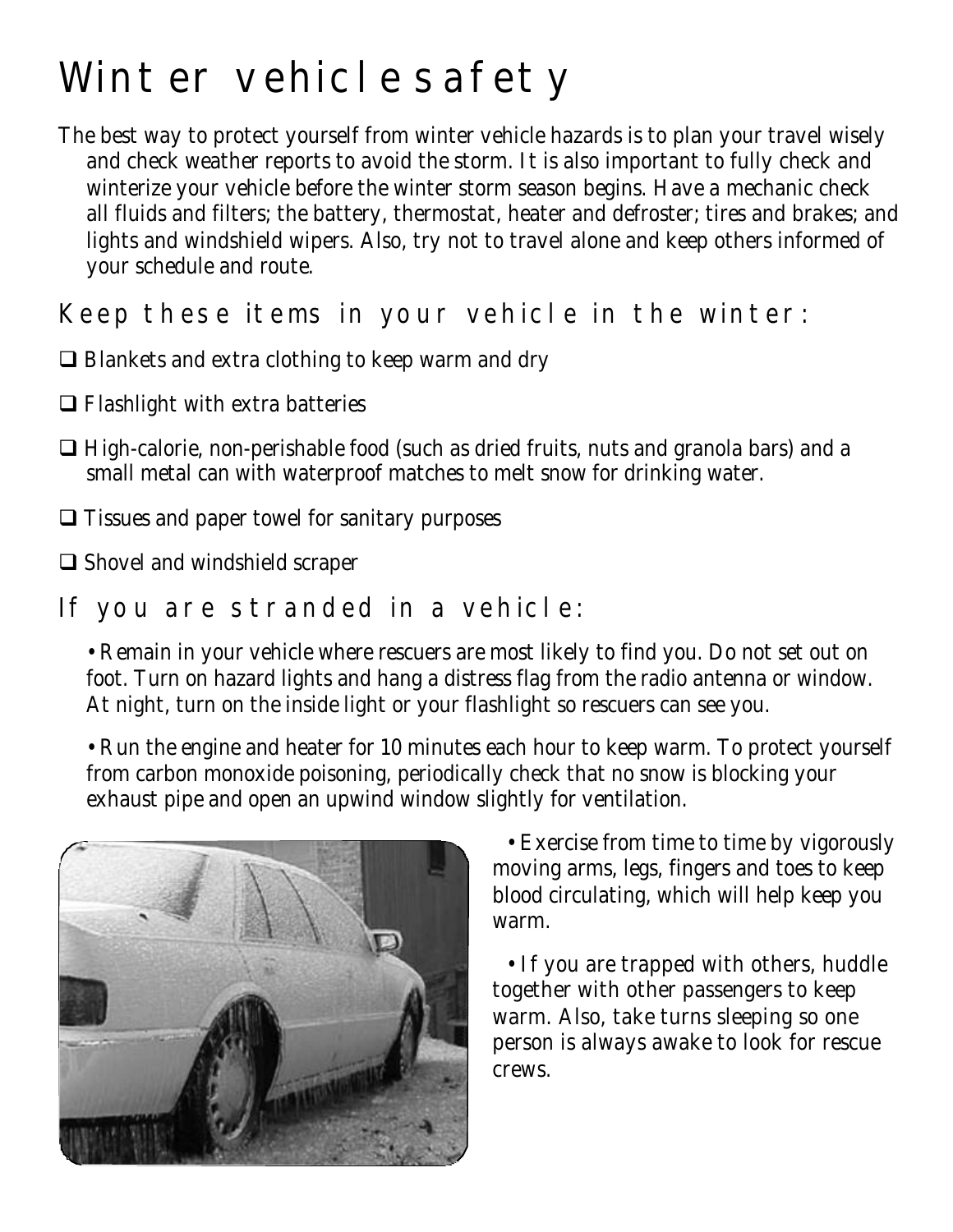## Winter vehicle safety

The best way to protect yourself from winter vehicle hazards is to plan your travel wisely and check weather reports to avoid the storm. It is also important to fully check and winterize your vehicle before the winter storm season begins. Have a mechanic check all fluids and filters; the battery, thermostat, heater and defroster; tires and brakes; and lights and windshield wipers. Also, try not to travel alone and keep others informed of your schedule and route.

### Keep these items in your vehicle in the winter:

- $\Box$  Blankets and extra clothing to keep warm and dry
- $\Box$  Flashlight with extra batteries
- $\Box$  High-calorie, non-perishable food (such as dried fruits, nuts and granola bars) and a small metal can with waterproof matches to melt snow for drinking water.
- $\Box$  Tissues and paper towel for sanitary purposes
- $\Box$  Shovel and windshield scraper

### If you are stranded in a vehicle:

• Remain in your vehicle where rescuers are most likely to find you. Do not set out on foot. Turn on hazard lights and hang a distress flag from the radio antenna or window. At night, turn on the inside light or your flashlight so rescuers can see you.

• Run the engine and heater for 10 minutes each hour to keep warm. To protect yourself from carbon monoxide poisoning, periodically check that no snow is blocking your exhaust pipe and open an upwind window slightly for ventilation.



• Exercise from time to time by vigorously moving arms, legs, fingers and toes to keep blood circulating, which will help keep you warm.

• If you are trapped with others, huddle together with other passengers to keep warm. Also, take turns sleeping so one person is always awake to look for rescue crews.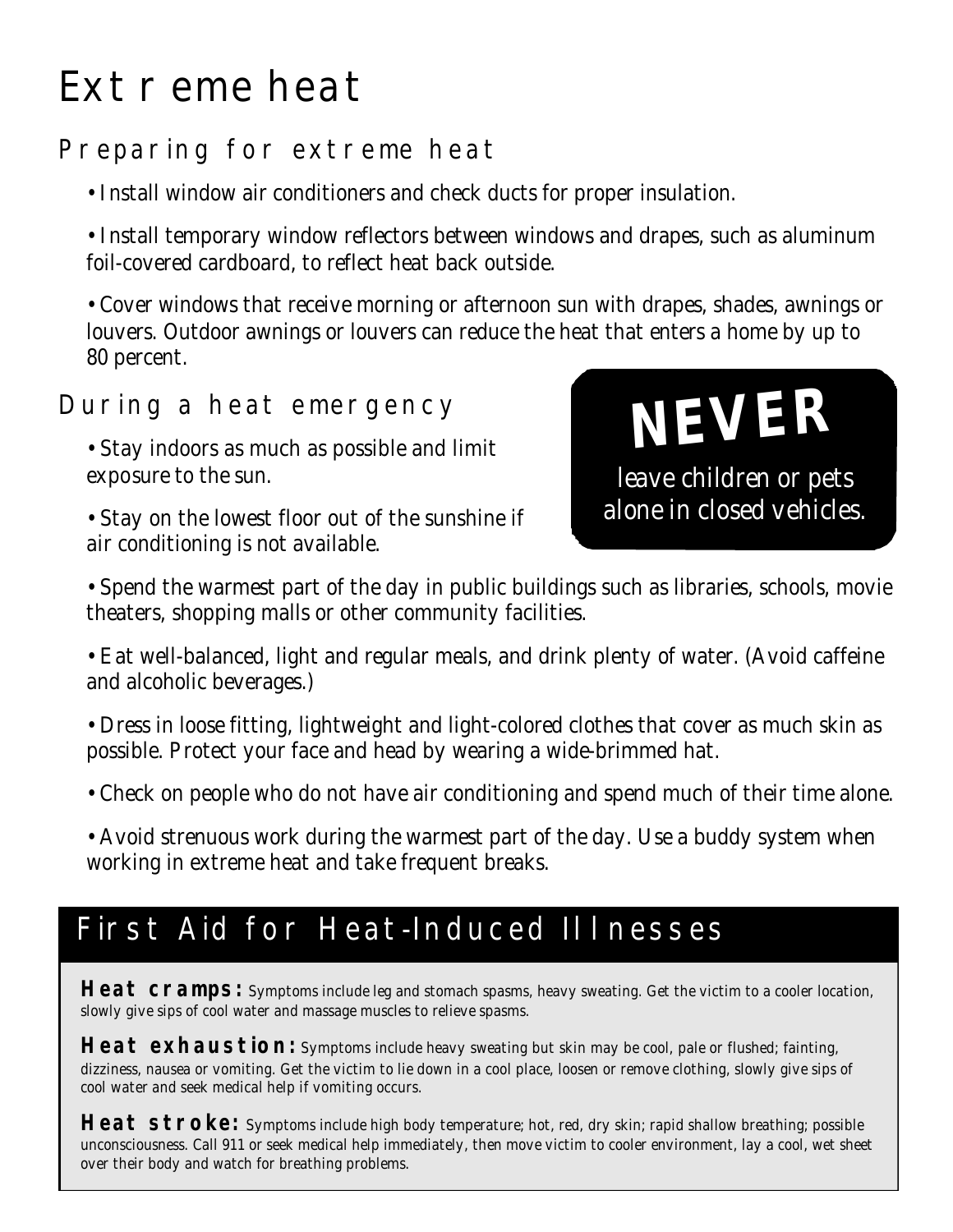## Extreme heat

### Preparing for extreme heat

• Install window air conditioners and check ducts for proper insulation.

• Install temporary window reflectors between windows and drapes, such as aluminum foil-covered cardboard, to reflect heat back outside.

• Cover windows that receive morning or afternoon sun with drapes, shades, awnings or louvers. Outdoor awnings or louvers can reduce the heat that enters a home by up to 80 percent.

### During a heat emergency

- Stay indoors as much as possible and limit exposure to the sun.
- Stay on the lowest floor out of the sunshine if air conditioning is not available.



• Spend the warmest part of the day in public buildings such as libraries, schools, movie theaters, shopping malls or other community facilities.

• Eat well-balanced, light and regular meals, and drink plenty of water. (Avoid caffeine and alcoholic beverages.)

• Dress in loose fitting, lightweight and light-colored clothes that cover as much skin as possible. Protect your face and head by wearing a wide-brimmed hat.

• Check on people who do not have air conditioning and spend much of their time alone.

• Avoid strenuous work during the warmest part of the day. Use a buddy system when working in extreme heat and take frequent breaks.

## First Aid for Heat-Induced Illnesses

Heat cramps: Symptoms include leg and stomach spasms, heavy sweating. Get the victim to a cooler location, slowly give sips of cool water and massage muscles to relieve spasms.

Heat exhaustion: Symptoms include heavy sweating but skin may be cool, pale or flushed; fainting, dizziness, nausea or vomiting. Get the victim to lie down in a cool place, loosen or remove clothing, slowly give sips of cool water and seek medical help if vomiting occurs.

**Heat stroke:** Symptoms include high body temperature; hot, red, dry skin; rapid shallow breathing; possible unconsciousness. Call 911 or seek medical help immediately, then move victim to cooler environment, lay a cool, wet sheet over their body and watch for breathing problems.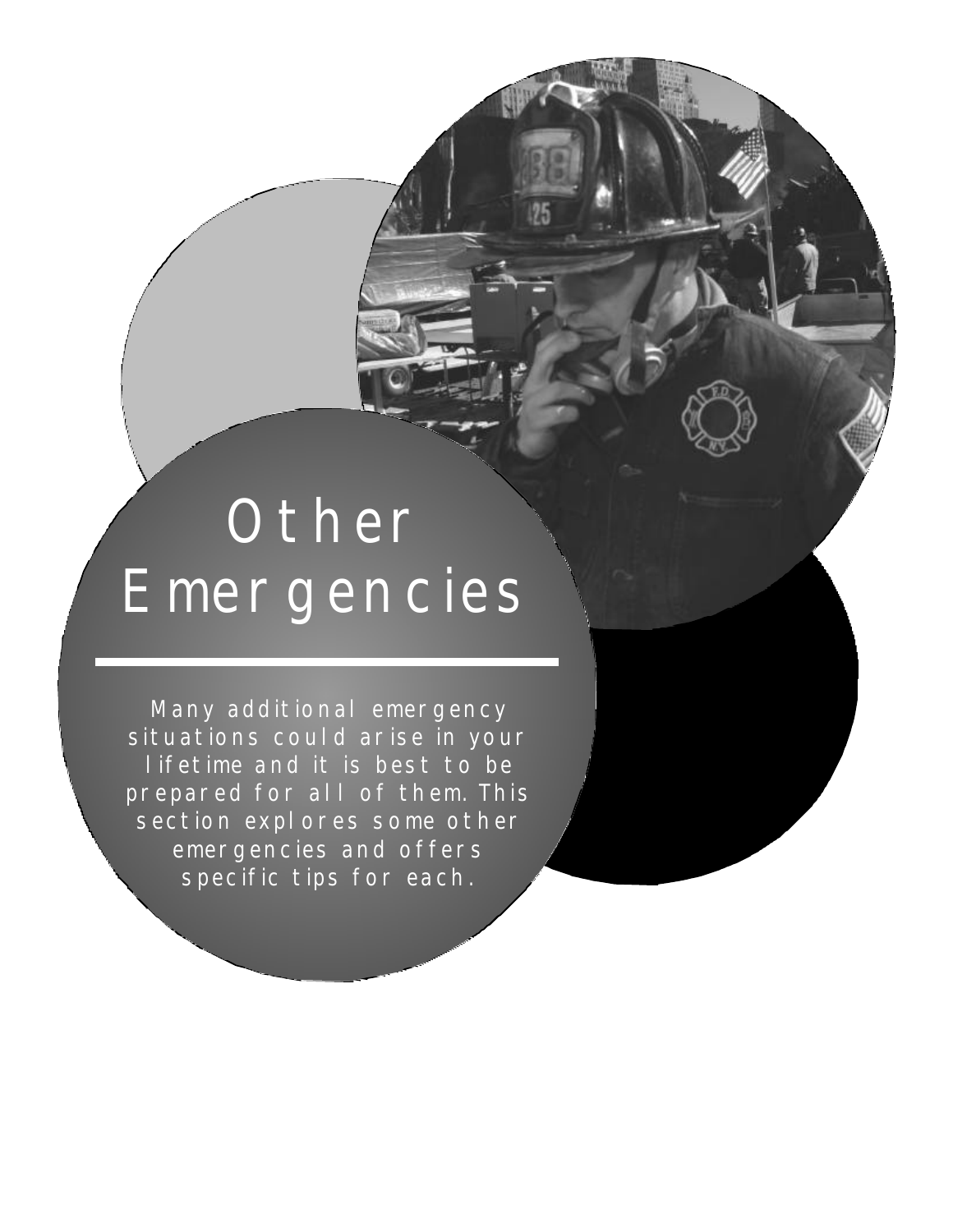# **Other** Emergencies

 $\frac{1}{25}$ 

Many additional emergency situations could arise in your lifetime and it is best to be prepared for all of them. This section explores some other emergencies and offers specific tips for each.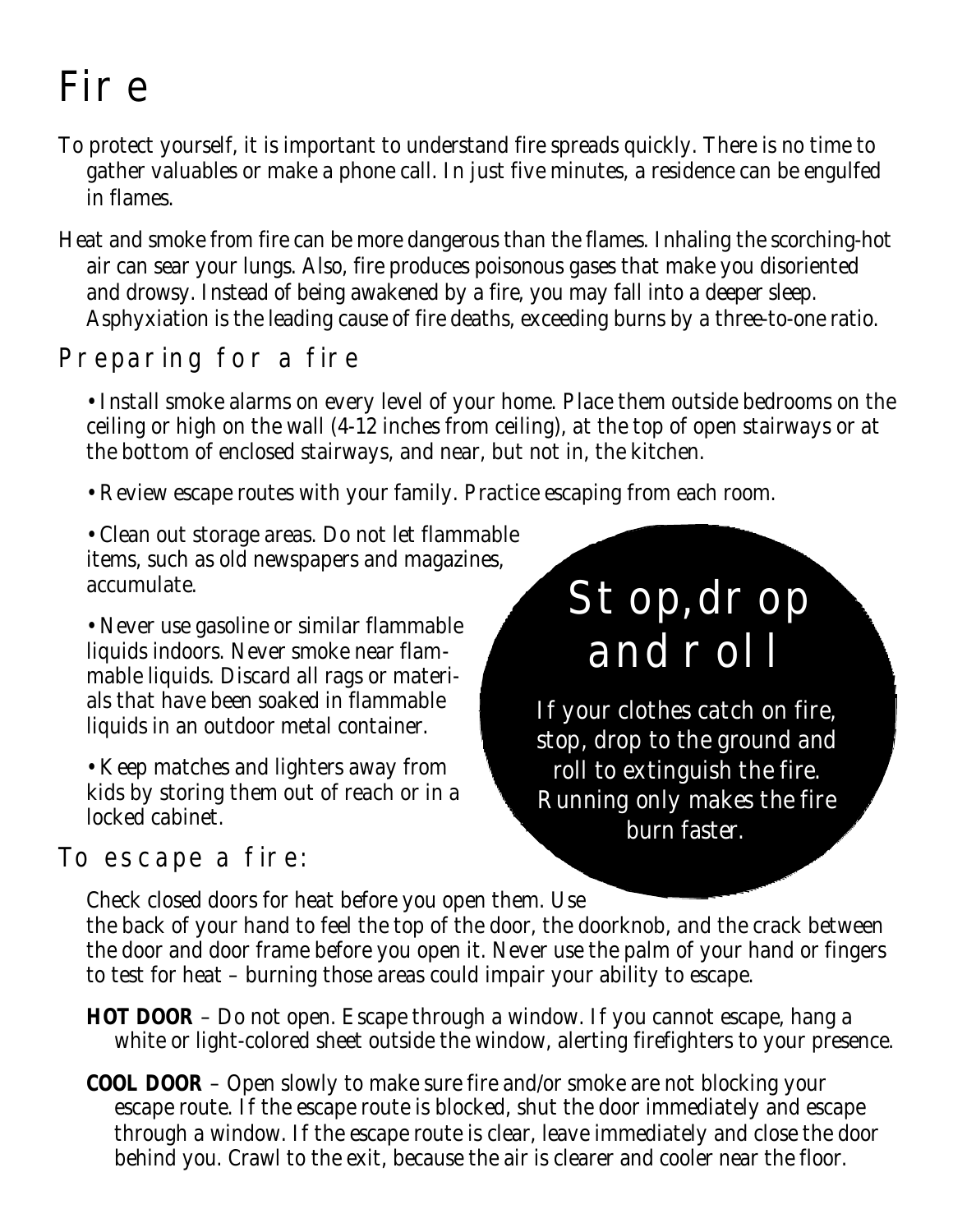## Fire

- To protect yourself, it is important to understand fire spreads quickly. There is no time to gather valuables or make a phone call. In just five minutes, a residence can be engulfed in flames.
- Heat and smoke from fire can be more dangerous than the flames. Inhaling the scorching-hot air can sear your lungs. Also, fire produces poisonous gases that make you disoriented and drowsy. Instead of being awakened by a fire, you may fall into a deeper sleep. Asphyxiation is the leading cause of fire deaths, exceeding burns by a three-to-one ratio.

## Preparing for a fire

• Install smoke alarms on every level of your home. Place them outside bedrooms on the ceiling or high on the wall (4-12 inches from ceiling), at the top of open stairways or at the bottom of enclosed stairways, and near, but not in, the kitchen.

- Review escape routes with your family. Practice escaping from each room.
- Clean out storage areas. Do not let flammable items, such as old newspapers and magazines, accumulate.

• Never use gasoline or similar flammable liquids indoors. Never smoke near flammable liquids. Discard all rags or materials that have been soaked in flammable liquids in an outdoor metal container.

• Keep matches and lighters away from kids by storing them out of reach or in a locked cabinet.

### To escape a fire:

## Stop, drop and roll

If your clothes catch on fire, stop, drop to the ground and roll to extinguish the fire. Running only makes the fire burn faster.

Check closed doors for heat before you open them. Use the back of your hand to feel the top of the door, the doorknob, and the crack between the door and door frame before you open it. Never use the palm of your hand or fingers to test for heat – burning those areas could impair your ability to escape.

- **HOT DOOR** Do not open. Escape through a window. If you cannot escape, hang a white or light-colored sheet outside the window, alerting firefighters to your presence.
- **COOL DOOR** Open slowly to make sure fire and/or smoke are not blocking your escape route. If the escape route is blocked, shut the door immediately and escape through a window. If the escape route is clear, leave immediately and close the door behind you. Crawl to the exit, because the air is clearer and cooler near the floor.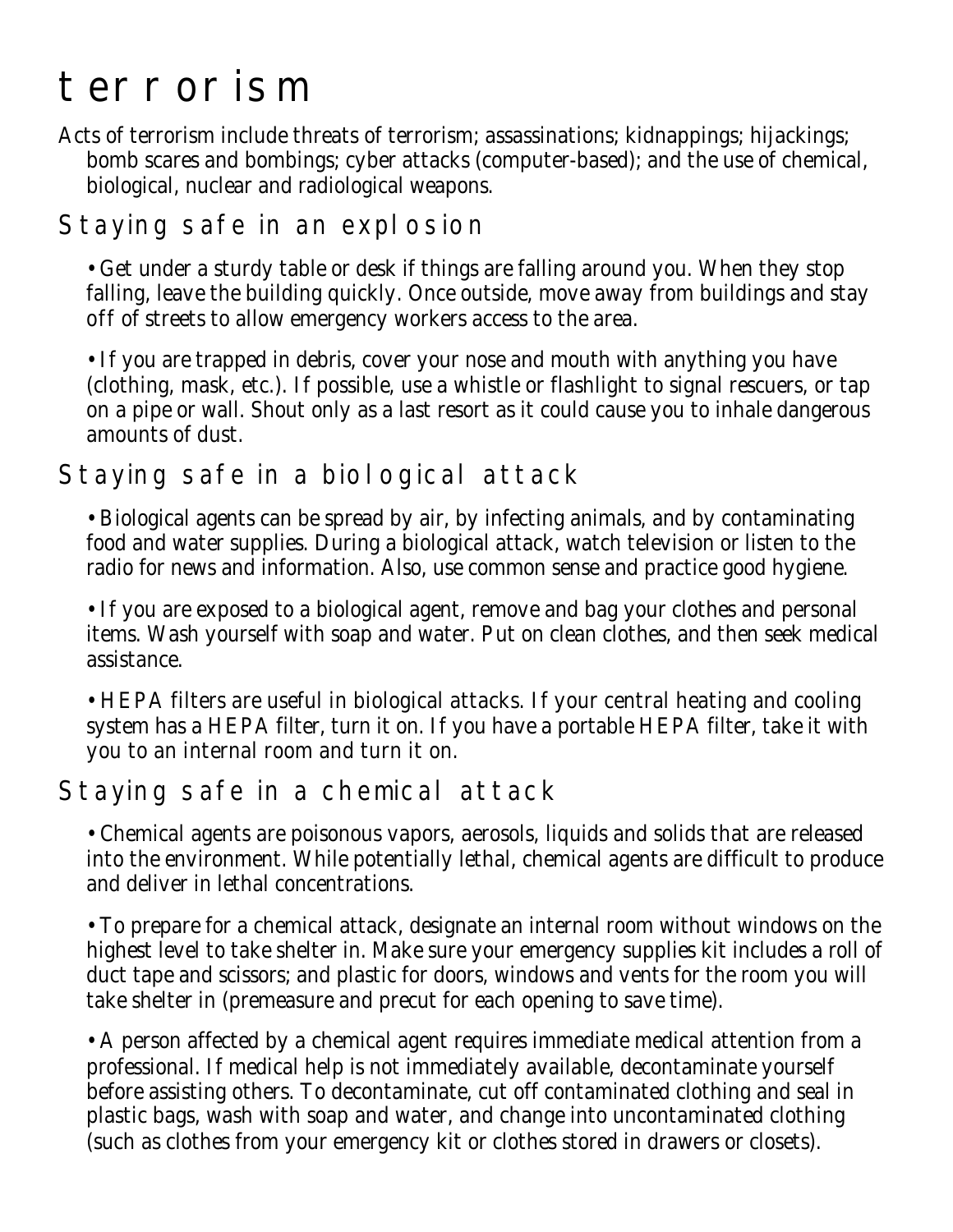## terrorism

Acts of terrorism include threats of terrorism; assassinations; kidnappings; hijackings; bomb scares and bombings; cyber attacks (computer-based); and the use of chemical, biological, nuclear and radiological weapons.

### Staying safe in an explosion

• Get under a sturdy table or desk if things are falling around you. When they stop falling, leave the building quickly. Once outside, move away from buildings and stay off of streets to allow emergency workers access to the area.

• If you are trapped in debris, cover your nose and mouth with anything you have (clothing, mask, etc.). If possible, use a whistle or flashlight to signal rescuers, or tap on a pipe or wall. Shout only as a last resort as it could cause you to inhale dangerous amounts of dust.

### Staying safe in a biological attack

• Biological agents can be spread by air, by infecting animals, and by contaminating food and water supplies. During a biological attack, watch television or listen to the radio for news and information. Also, use common sense and practice good hygiene.

• If you are exposed to a biological agent, remove and bag your clothes and personal items. Wash yourself with soap and water. Put on clean clothes, and then seek medical assistance.

• HEPA filters are useful in biological attacks. If your central heating and cooling system has a HEPA filter, turn it on. If you have a portable HEPA filter, take it with you to an internal room and turn it on.

### Staying safe in a chemical attack

• Chemical agents are poisonous vapors, aerosols, liquids and solids that are released into the environment. While potentially lethal, chemical agents are difficult to produce and deliver in lethal concentrations.

• To prepare for a chemical attack, designate an internal room without windows on the highest level to take shelter in. Make sure your emergency supplies kit includes a roll of duct tape and scissors; and plastic for doors, windows and vents for the room you will take shelter in (premeasure and precut for each opening to save time).

• A person affected by a chemical agent requires immediate medical attention from a professional. If medical help is not immediately available, decontaminate yourself before assisting others. To decontaminate, cut off contaminated clothing and seal in plastic bags, wash with soap and water, and change into uncontaminated clothing (such as clothes from your emergency kit or clothes stored in drawers or closets).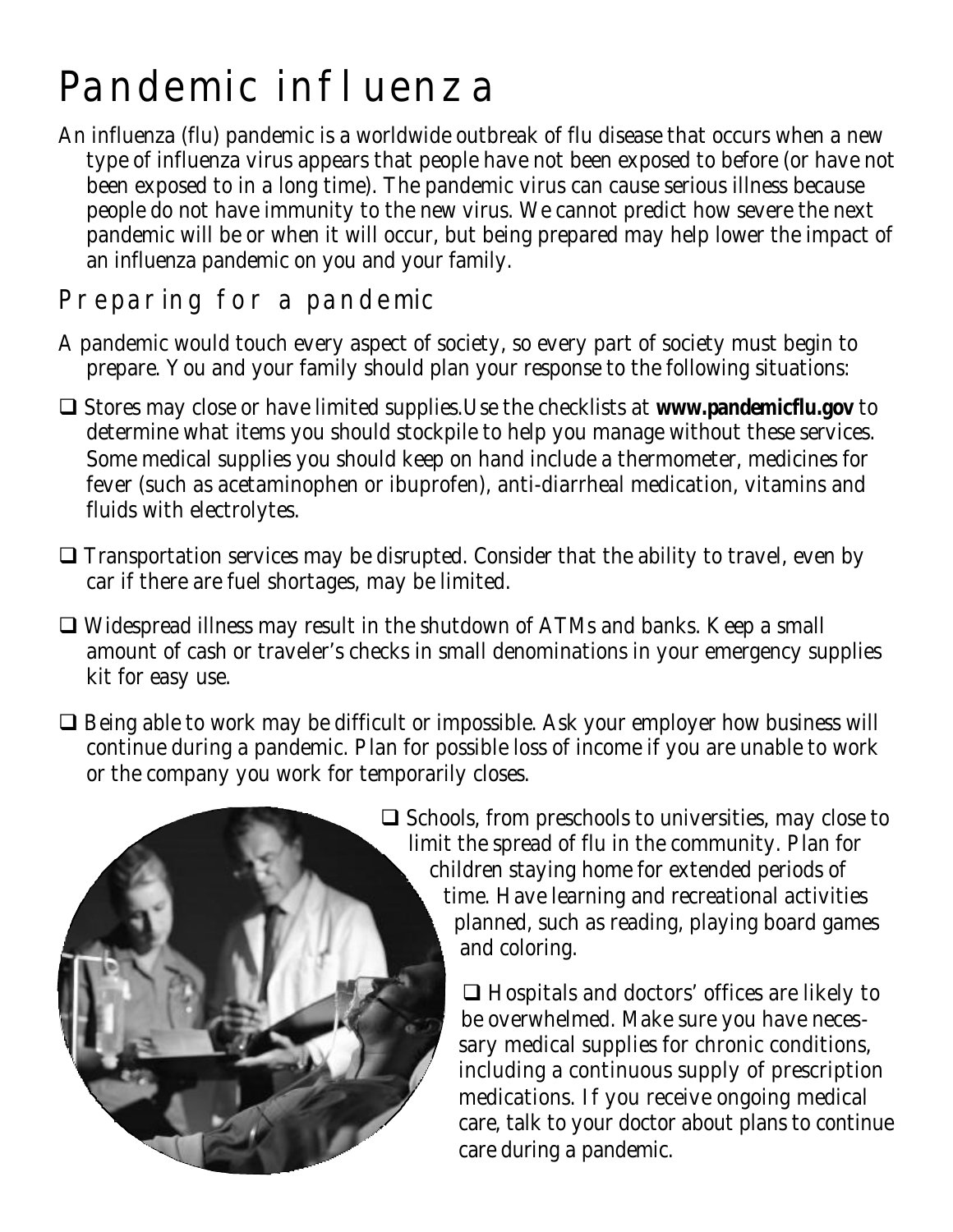## Pandemic influenza

An influenza (flu) pandemic is a worldwide outbreak of flu disease that occurs when a new type of influenza virus appears that people have not been exposed to before (or have not been exposed to in a long time). The pandemic virus can cause serious illness because people do not have immunity to the new virus. We cannot predict how severe the next pandemic will be or when it will occur, but being prepared may help lower the impact of an influenza pandemic on you and your family.

### Preparing for a pandemic

- A pandemic would touch every aspect of society, so every part of society must begin to prepare. You and your family should plan your response to the following situations:
- □ Stores may close or have limited supplies.Use the checklists at **www.pandemicflu.gov** to determine what items you should stockpile to help you manage without these services. Some medical supplies you should keep on hand include a thermometer, medicines for fever (such as acetaminophen or ibuprofen), anti-diarrheal medication, vitamins and fluids with electrolytes.
- $\Box$  Transportation services may be disrupted. Consider that the ability to travel, even by car if there are fuel shortages, may be limited.
- $\Box$  Widespread illness may result in the shutdown of ATMs and banks. Keep a small amount of cash or traveler's checks in small denominations in your emergency supplies kit for easy use.
- $\Box$  Being able to work may be difficult or impossible. Ask your employer how business will continue during a pandemic. Plan for possible loss of income if you are unable to work or the company you work for temporarily closes.



 $\Box$  Schools, from preschools to universities, may close to limit the spread of flu in the community. Plan for children staying home for extended periods of time. Have learning and recreational activities planned, such as reading, playing board games and coloring.

> $\Box$  Hospitals and doctors' offices are likely to be overwhelmed. Make sure you have necessary medical supplies for chronic conditions, including a continuous supply of prescription medications. If you receive ongoing medical care, talk to your doctor about plans to continue care during a pandemic.